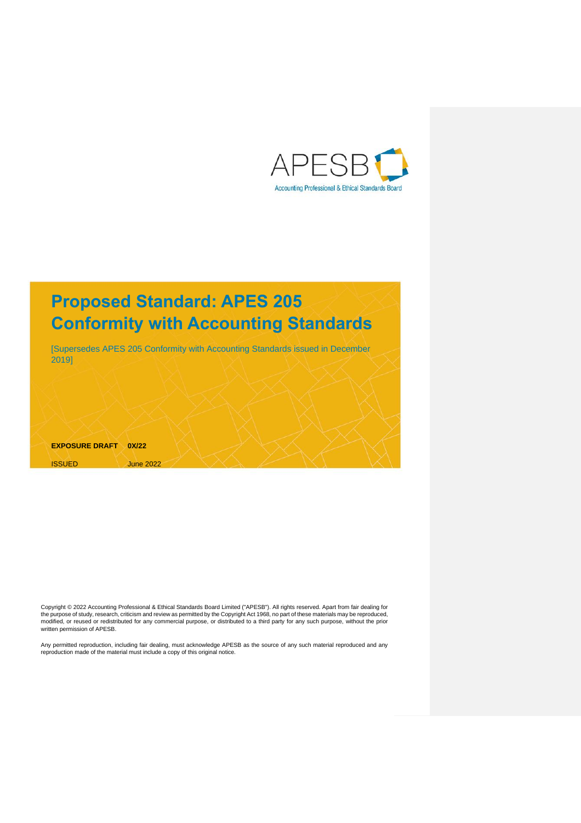

# **Proposed Standard: APES 205 Conformity with Accounting Standards**

[Supersedes APES 205 Conformity with Accounting Standards issued in December 2019]

**EXPOSURE DRAFT 0X/22** ISSUED June 2022

Copyright © 2022 [Accounting Professional & Ethical Standards Board Limited \("APESB"\).](https://www.apesb.org.au/page.php?act=copyright) All rights reserved. Apart from fair dealing for the purpose of study, research, criticism and review as permitted by th[e Copyright Act 1968,](https://www.legislation.gov.au/latest/C2019C00042) no part of these materials may be reproduced, modified, or reused or redistributed for any commercial purpose, or distributed to a third party for any such purpose, without the prior written permission of APESB.

Any permitted reproduction, including fair dealing, must acknowledge APESB as the source of any such material reproduced and any reproduction made of the material must include a copy of this original notice.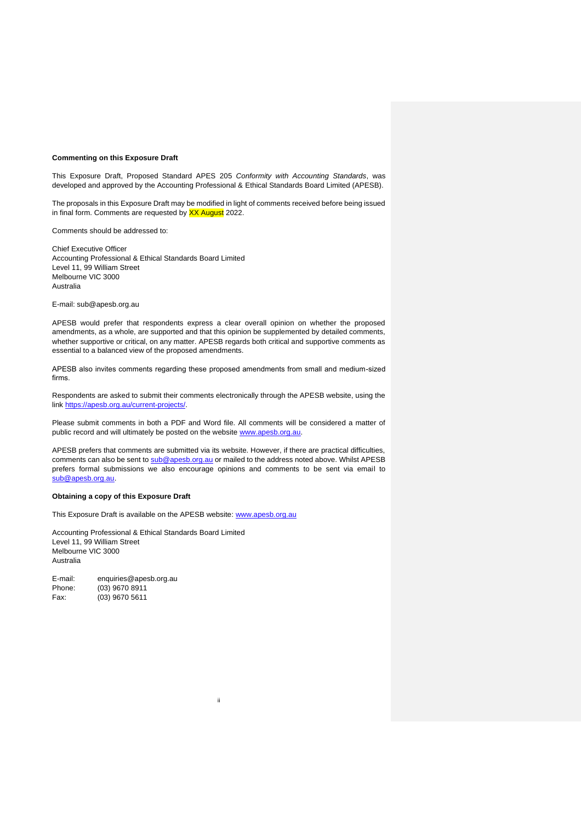### **Commenting on this Exposure Draft**

This Exposure Draft, Proposed Standard APES 205 *Conformity with Accounting Standards*, was developed and approved by the Accounting Professional & Ethical Standards Board Limited (APESB).

The proposals in this Exposure Draft may be modified in light of comments received before being issued in final form. Comments are requested by XX August 2022.

Comments should be addressed to:

Chief Executive Officer Accounting Professional & Ethical Standards Board Limited Level 11, 99 William Street Melbourne VIC 3000 Australia

E-mail: sub@apesb.org.au

APESB would prefer that respondents express a clear overall opinion on whether the proposed amendments, as a whole, are supported and that this opinion be supplemented by detailed comments, whether supportive or critical, on any matter. APESB regards both critical and supportive comments as essential to a balanced view of the proposed amendments.

APESB also invites comments regarding these proposed amendments from small and medium-sized firms.

Respondents are asked to submit their comments electronically through the APESB website, using the link [https://apesb.org.au/current-projects/.](https://apesb.org.au/current-projects/)

Please submit comments in both a PDF and Word file. All comments will be considered a matter of public record and will ultimately be posted on the website [www.apesb.org.au.](file:///C:/Users/JonReid/AppData/Local/Microsoft/Windows/INetCache/Content.Outlook/O2K7YZOQ/www.apesb.org.au)

APESB prefers that comments are submitted via its website. However, if there are practical difficulties, comments can also be sent to [sub@apesb.org.au](file:///C:/Users/JonReid/AppData/Local/Microsoft/Windows/INetCache/Content.Outlook/O2K7YZOQ/sub@apesb.org.au) or mailed to the address noted above. Whilst APESB prefers formal submissions we also encourage opinions and comments to be sent via email to [sub@apesb.org.au.](file:///C:/Users/JonReid/AppData/Local/Microsoft/Windows/INetCache/Content.Outlook/O2K7YZOQ/sub@apesb.org.au)

ii

# **Obtaining a copy of this Exposure Draft**

This Exposure Draft is available on the APESB website: [www.apesb.org.au](http://www.apesb.org.au/)

Accounting Professional & Ethical Standards Board Limited Level 11, 99 William Street Melbourne VIC 3000 Australia

E-mail: enquiries@apesb.org.au Phone: (03) 9670 8911 Fax: (03) 9670 5611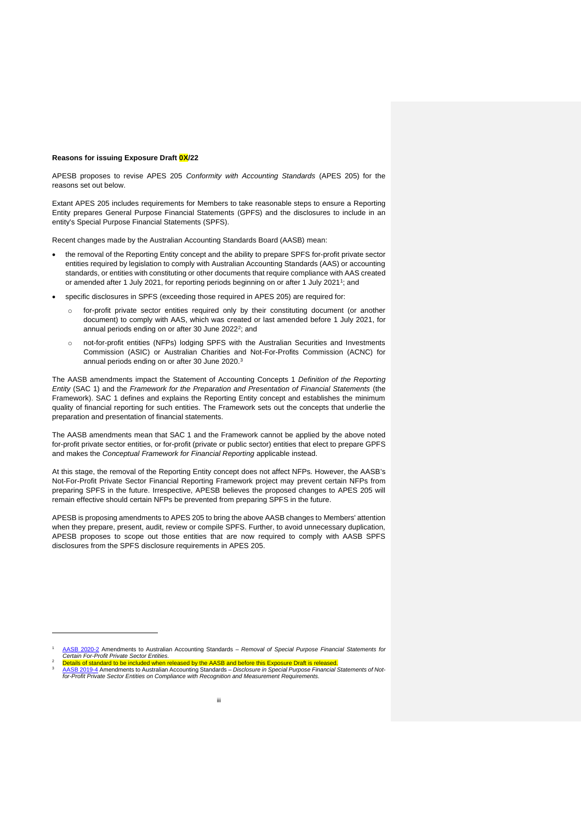#### **Reasons for issuing Exposure Draft 0X/22**

APESB proposes to revise APES 205 *Conformity with Accounting Standards* (APES 205) for the reasons set out below.

Extant APES 205 includes requirements for Members to take reasonable steps to ensure a Reporting Entity prepares General Purpose Financial Statements (GPFS) and the disclosures to include in an entity's Special Purpose Financial Statements (SPFS).

Recent changes made by the Australian Accounting Standards Board (AASB) mean:

- the removal of the Reporting Entity concept and the ability to prepare SPFS for-profit private sector entities required by legislation to comply with Australian Accounting Standards (AAS) or accounting standards, or entities with constituting or other documents that require compliance with AAS created or amended after 1 July 2021, for reporting periods beginning on or after 1 July 2021<sup>1</sup>; and
- specific disclosures in SPFS (exceeding those required in APES 205) are required for:
	- o for-profit private sector entities required only by their constituting document (or another document) to comply with AAS, which was created or last amended before 1 July 2021, for annual periods ending on or after 30 June 2022<sup>2</sup>; and
	- o not-for-profit entities (NFPs) lodging SPFS with the Australian Securities and Investments Commission (ASIC) or Australian Charities and Not-For-Profits Commission (ACNC) for annual periods ending on or after 30 June 2020.<sup>3</sup>

The AASB amendments impact the Statement of Accounting Concepts 1 *Definition of the Reporting Entity* (SAC 1) and the *Framework for the Preparation and Presentation of Financial Statements* (the Framework). SAC 1 defines and explains the Reporting Entity concept and establishes the minimum quality of financial reporting for such entities. The Framework sets out the concepts that underlie the preparation and presentation of financial statements.

The AASB amendments mean that SAC 1 and the Framework cannot be applied by the above noted for-profit private sector entities, or for-profit (private or public sector) entities that elect to prepare GPFS and makes the *Conceptual Framework for Financial Reporting* applicable instead.

At this stage, the removal of the Reporting Entity concept does not affect NFPs. However, the AASB's Not-For-Profit Private Sector Financial Reporting Framework project may prevent certain NFPs from preparing SPFS in the future. Irrespective, APESB believes the proposed changes to APES 205 will remain effective should certain NFPs be prevented from preparing SPFS in the future.

APESB is proposing amendments to APES 205 to bring the above AASB changes to Members' attention when they prepare, present, audit, review or compile SPFS. Further, to avoid unnecessary duplication, APESB proposes to scope out those entities that are now required to comply with AASB SPFS disclosures from the SPFS disclosure requirements in APES 205.

<sup>1</sup> [AASB 2020-2](https://www.aasb.gov.au/admin/file/content105/c9/AASB_2020-2_03-20.pdf) Amendments to Australian Accounting Standards – *Removal of Special Purpose Financial Statements for Certain For-Profit Private Sector Entities*. <sup>2</sup> Details of standard to be included when released by the AASB and before this Exposure Draft is released.

<sup>3</sup> [AASB 2019-4](https://aasb.gov.au/admin/file/content105/c9/AASB2019-4_11-19.pdf) Amendments to Australian Accounting Standards – *Disclosure in Special Purpose Financial Statements of Notfor-Profit Private Sector Entities on Compliance with Recognition and Measurement Requirements*.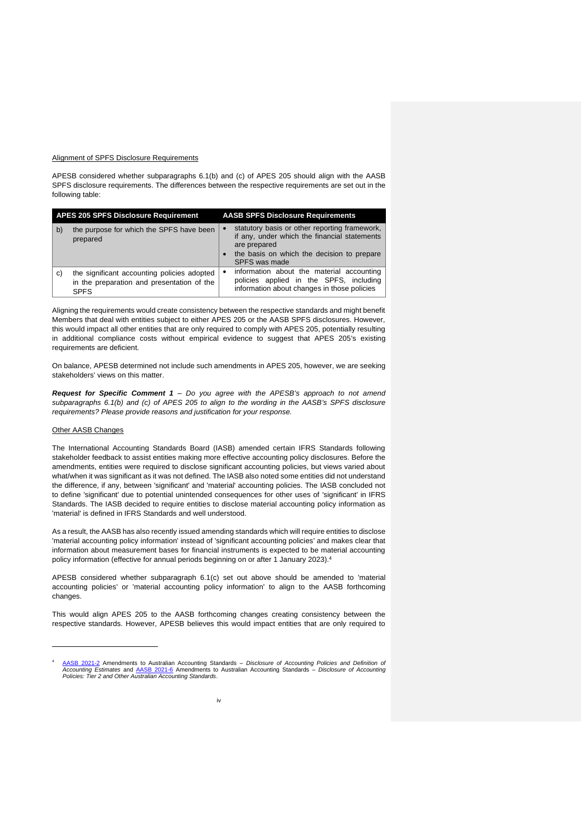### Alignment of SPFS Disclosure Requirements

APESB considered whether subparagraphs 6.1(b) and (c) of APES 205 should align with the AASB SPFS disclosure requirements. The differences between the respective requirements are set out in the following table:

| <b>APES 205 SPFS Disclosure Requirement</b> |                                                                                                          | <b>AASB SPFS Disclosure Requirements</b>                                                                                                                                     |  |
|---------------------------------------------|----------------------------------------------------------------------------------------------------------|------------------------------------------------------------------------------------------------------------------------------------------------------------------------------|--|
| b)                                          | the purpose for which the SPFS have been<br>prepared                                                     | statutory basis or other reporting framework,<br>if any, under which the financial statements<br>are prepared<br>the basis on which the decision to prepare<br>SPFS was made |  |
| C)                                          | the significant accounting policies adopted<br>in the preparation and presentation of the<br><b>SPFS</b> | information about the material accounting<br>policies applied in the SPFS, including<br>information about changes in those policies                                          |  |

Aligning the requirements would create consistency between the respective standards and might benefit Members that deal with entities subject to either APES 205 or the AASB SPFS disclosures. However, this would impact all other entities that are only required to comply with APES 205, potentially resulting in additional compliance costs without empirical evidence to suggest that APES 205's existing requirements are deficient.

On balance, APESB determined not include such amendments in APES 205, however, we are seeking stakeholders' views on this matter.

*Request for Specific Comment 1 – Do you agree with the APESB's approach to not amend subparagraphs 6.1(b) and (c) of APES 205 to align to the wording in the AASB's SPFS disclosure requirements? Please provide reasons and justification for your response.*

#### Other AASB Changes

The International Accounting Standards Board (IASB) amended certain IFRS Standards following stakeholder feedback to assist entities making more effective accounting policy disclosures. Before the amendments, entities were required to disclose significant accounting policies, but views varied about what/when it was significant as it was not defined. The IASB also noted some entities did not understand the difference, if any, between 'significant' and 'material' accounting policies. The IASB concluded not to define 'significant' due to potential unintended consequences for other uses of 'significant' in IFRS Standards. The IASB decided to require entities to disclose material accounting policy information as 'material' is defined in IFRS Standards and well understood.

As a result, the AASB has also recently issued amending standards which will require entities to disclose 'material accounting policy information' instead of 'significant accounting policies' and makes clear that information about measurement bases for financial instruments is expected to be material accounting policy information (effective for annual periods beginning on or after 1 January 2023).<sup>4</sup>

APESB considered whether subparagraph 6.1(c) set out above should be amended to 'material accounting policies' or 'material accounting policy information' to align to the AASB forthcoming changes.

This would align APES 205 to the AASB forthcoming changes creating consistency between the respective standards. However, APESB believes this would impact entities that are only required to

<sup>4</sup> [AASB 2021-2](https://aasb.gov.au/admin/file/content105/c9/AASB2021-2_03-21.pdf) Amendments to Australian Accounting Standards - Disclosure of Accounting Policies and Definition of<br>Accounting Estimates and [AASB 2021-6](https://aasb.gov.au/admin/file/content105/c9/AASB2021-6_12-21.pdf) Amendments to Australian Accounting Standards - Disclosure of Accountin *Policies: Tier 2 and Other Australian Accounting Standards*.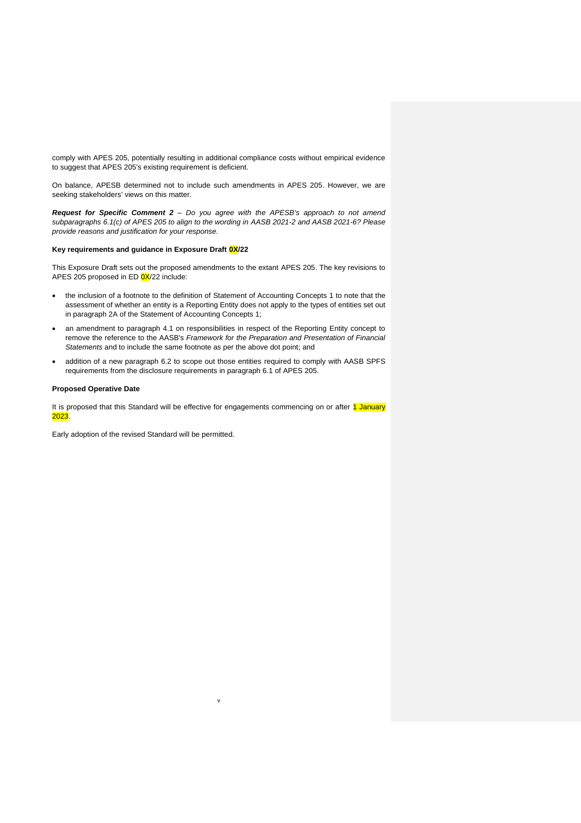comply with APES 205, potentially resulting in additional compliance costs without empirical evidence to suggest that APES 205's existing requirement is deficient.

On balance, APESB determined not to include such amendments in APES 205. However, we are seeking stakeholders' views on this matter.

*Request for Specific Comment 2 – Do you agree with the APESB's approach to not amend subparagraphs 6.1(c) of APES 205 to align to the wording in AASB 2021-2 and AASB 2021-6? Please provide reasons and justification for your response.*

### **Key requirements and guidance in Exposure Draft 0X/22**

This Exposure Draft sets out the proposed amendments to the extant APES 205. The key revisions to APES 205 proposed in ED 0X/22 include:

- the inclusion of a footnote to the definition of Statement of Accounting Concepts 1 to note that the assessment of whether an entity is a Reporting Entity does not apply to the types of entities set out in paragraph 2A of the Statement of Accounting Concepts 1;
- an amendment to paragraph 4.1 on responsibilities in respect of the Reporting Entity concept to remove the reference to the AASB's *[Framework for the Preparation and Presentation of Financial](https://www.aasb.gov.au/)  [Statements](https://www.aasb.gov.au/)* and to include the same footnote as per the above dot point; and
- addition of a new paragraph 6.2 to scope out those entities required to comply with AASB SPFS requirements from the disclosure requirements in paragraph 6.1 of APES 205.

### **Proposed Operative Date**

It is proposed that this Standard will be effective for engagements commencing on or after 1 January 2023.

v

Early adoption of the revised Standard will be permitted.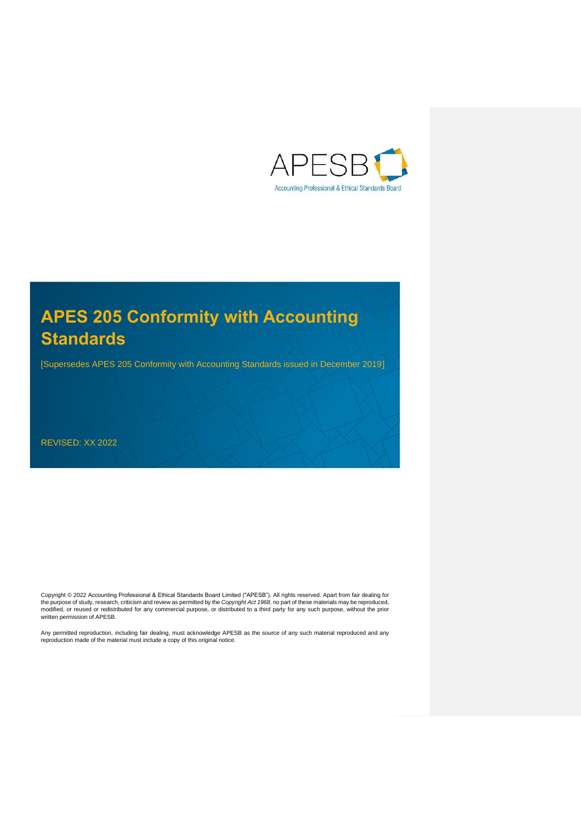

[Supersedes APES 205 Conformity with Accounting Standards issued in December 2019]

REVISED: XX 2022

Copyright © 2022 [Accounting Professional & Ethical Standards Board Limited \("APESB"\).](https://www.apesb.org.au/page.php?act=copyright) All rights reserved. Apart from fair dealing for the purpose of study, research, criticism and review as permitted by the *[Copyright Act 1968](https://www.legislation.gov.au/latest/C2019C00042)*, no part of these materials may be reproduced,<br>modified, or reused or redistributed for any commercial purpose, or distributed t written permission of APESB.

Any permitted reproduction, including fair dealing, must acknowledge APESB as the source of any such material reproduced and any<br>reproduction made of the material must include a copy of this original notice.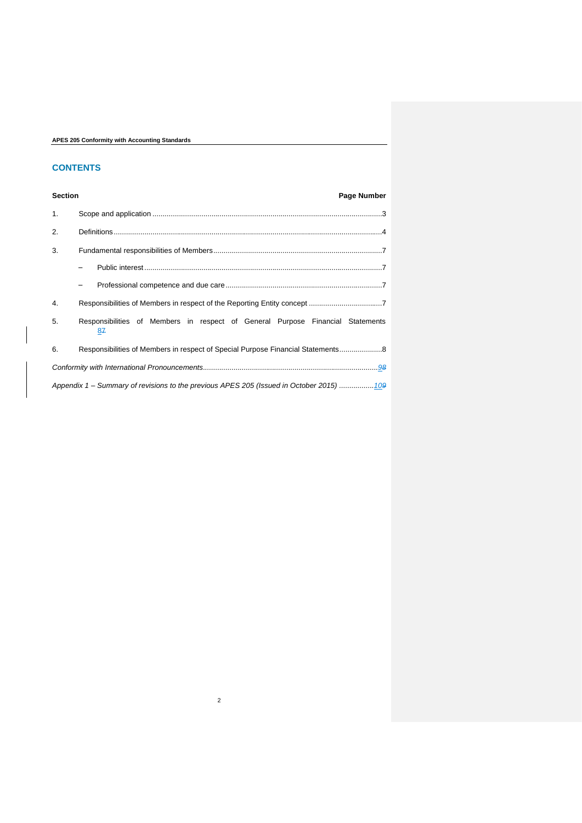# **CONTENTS**

**Section Page Number** 

| 1. |                                                                                         |
|----|-----------------------------------------------------------------------------------------|
| 2. |                                                                                         |
| 3. |                                                                                         |
|    |                                                                                         |
|    |                                                                                         |
| 4. |                                                                                         |
| 5. | Responsibilities of Members in respect of General Purpose Financial Statements<br>87    |
| 6. | Responsibilities of Members in respect of Special Purpose Financial Statements 8        |
|    |                                                                                         |
|    | Appendix 1 – Summary of revisions to the previous APES 205 (Issued in October 2015) 109 |

2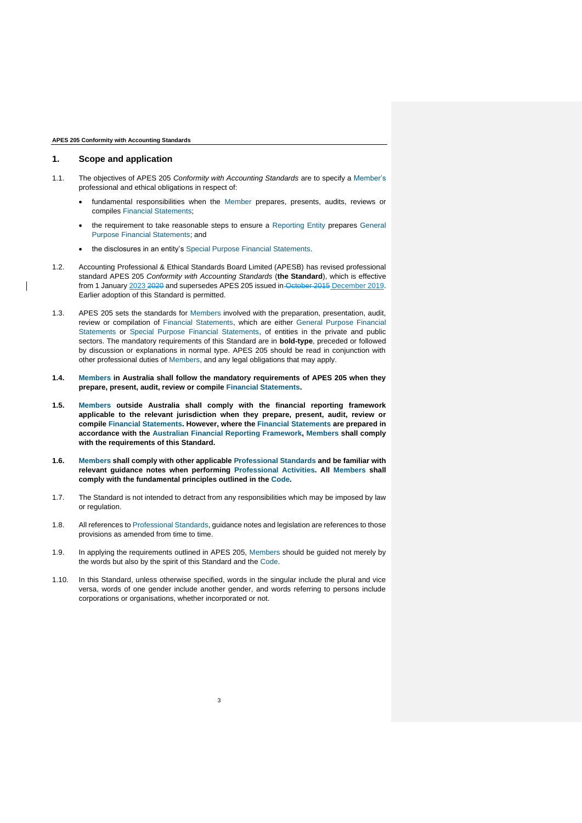# <span id="page-7-0"></span>**1. Scope and application**

- 1.1. The objectives of APES 205 *Conformity with Accounting Standards* are to specify a Member's professional and ethical obligations in respect of:
	- fundamental responsibilities when the Member prepares, presents, audits, reviews or compiles Financial Statements;
	- the requirement to take reasonable steps to ensure a Reporting Entity prepares General Purpose Financial Statements; and
	- the disclosures in an entity's Special Purpose Financial Statements.
- 1.2. [Accounting Professional & Ethical Standards Board Limited \(APESB\)](https://apesb.org.au/) has revised professional standard APES 205 *Conformity with Accounting Standards* (**the Standard**), which is effective from 1 January 2023 2020 and supersedes APES 205 issued in October 2015 December 2019. Earlier adoption of this Standard is permitted.
- 1.3. APES 205 sets the standards for Members involved with the preparation, presentation, audit, review or compilation of Financial Statements, which are either General Purpose Financial Statements or Special Purpose Financial Statements, of entities in the private and public sectors. The mandatory requirements of this Standard are in **bold-type**, preceded or followed by discussion or explanations in normal type. APES 205 should be read in conjunction with other professional duties of Members, and any legal obligations that may apply.
- **1.4. Members in Australia shall follow the mandatory requirements of APES 205 when they prepare, present, audit, review or compile Financial Statements.**
- **1.5. Members outside Australia shall comply with the financial reporting framework applicable to the relevant jurisdiction when they prepare, present, audit, review or compile Financial Statements. However, where the Financial Statements are prepared in accordance with the Australian Financial Reporting Framework, Members shall comply with the requirements of this Standard.**
- **1.6. Members shall comply with other applicable Professional Standards and be familiar with relevant guidance notes when performing Professional Activities. All Members shall comply with the fundamental principles outlined in the Code.**
- 1.7. The Standard is not intended to detract from any responsibilities which may be imposed by law or regulation.
- 1.8. All references to Professional Standards, guidance notes and legislation are references to those provisions as amended from time to time.
- 1.9. In applying the requirements outlined in APES 205, Members should be guided not merely by the words but also by the spirit of this Standard and the Code.
- 1.10. In this Standard, unless otherwise specified, words in the singular include the plural and vice versa, words of one gender include another gender, and words referring to persons include corporations or organisations, whether incorporated or not.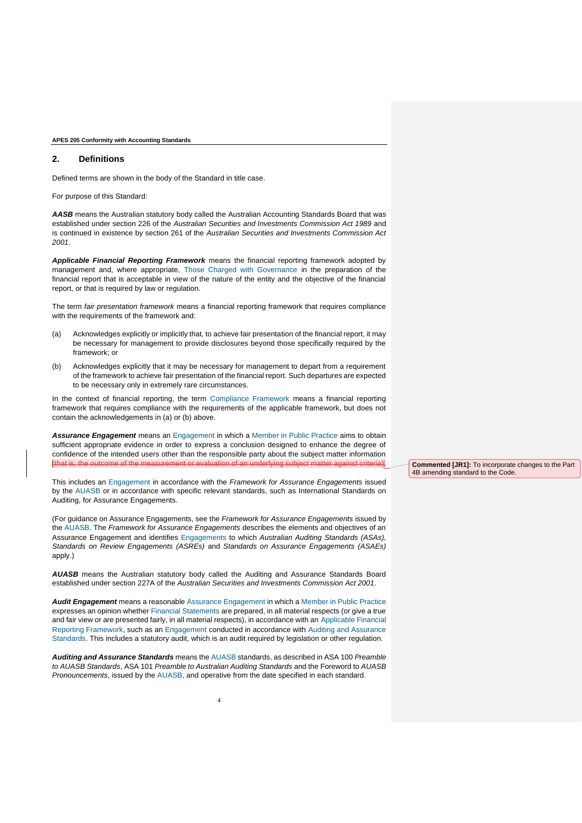# <span id="page-8-0"></span>**2. Definitions**

Defined terms are shown in the body of the Standard in title case.

For purpose of this Standard:

AASB means the Australian statutory body called the [Australian Accounting Standards Board](https://www.aasb.gov.au/) that was established under section 226 of the *Australian Securities [and Investments Commission Act 1989](https://www.legislation.gov.au/latest/C2005C00461)* and is continued in existence by section 261 of the *[Australian Securities and Investments Commission Act](https://www.legislation.gov.au/latest/C2019C00207)  [2001](https://www.legislation.gov.au/latest/C2019C00207)*.

*Applicable Financial Reporting Framework* means the financial reporting framework adopted by management and, where appropriate, Those Charged with Governance in the preparation of the financial report that is acceptable in view of the nature of the entity and the objective of the financial report, or that is required by law or regulation.

The term *fair presentation framework* means a financial reporting framework that requires compliance with the requirements of the framework and:

- (a) Acknowledges explicitly or implicitly that, to achieve fair presentation of the financial report, it may be necessary for management to provide disclosures beyond those specifically required by the framework; or
- (b) Acknowledges explicitly that it may be necessary for management to depart from a requirement of the framework to achieve fair presentation of the financial report. Such departures are expected to be necessary only in extremely rare circumstances.

In the context of financial reporting, the term Compliance Framework means a financial reporting framework that requires compliance with the requirements of the applicable framework, but does not contain the acknowledgements in (a) or (b) above.

*Assurance Engagement* means an Engagement in which a Member in Public Practice aims to obtain sufficient appropriate evidence in order to express a conclusion designed to enhance the degree of confidence of the intended users other than the responsible party about the subject matter information (that is, the outcome of the measurement or evaluation of an underlying subject matter against criteria).

This includes an Engagement in accordance with the *[Framework for Assurance Engagements](https://www.auasb.gov.au/)* issued by the AUASB or in accordance with specific relevant standards, such as [International Standards on](https://www.iaasb.org/)  [Auditing,](https://www.iaasb.org/) for Assurance Engagements.

(For guidance on Assurance Engagements, see the *[Framework for Assurance Engagements](https://www.auasb.gov.au/)* issued by the AUASB. The *[Framework for Assurance Engagements](https://www.auasb.gov.au/)* describes the elements and objectives of an Assurance Engagement and identifies Engagements to which *[Australian Auditing Standards](https://www.auasb.gov.au/) (ASAs), [Standards on Review Engagements](https://www.auasb.gov.au/) (ASREs)* and *[Standards on Assurance Engagements](https://www.auasb.gov.au/) (ASAEs)*  apply.)

*AUASB* means the Australian statutory body called the [Auditing and Assurance Standards Board](https://www.auasb.gov.au/) established under section 227A of the *[Australian Securities and Investments Commission Act 2001.](https://www.legislation.gov.au/latest/C2019C00207)*

*Audit Engagement* means a reasonable Assurance Engagement in which a Member in Public Practice expresses an opinion whether Financial Statements are prepared, in all material respects (or give a true and fair view or are presented fairly, in all material respects), in accordance with an Applicable Financial Reporting Framework, such as an Engagement conducted in accordance with Auditing and Assurance Standards. This includes a statutory audit, which is an audit required by legislation or other regulation.

*Auditing and Assurance Standards* means the AUASB standards, as described in ASA 100 *[Preamble](https://www.auasb.gov.au/)  [to AUASB Standards](https://www.auasb.gov.au/)*, ASA 101 *[Preamble to Australian Auditing Standards](https://www.auasb.gov.au/)* and the [Foreword to](https://www.auasb.gov.au/) *AUASB [Pronouncements](https://www.auasb.gov.au/)*, issued by the AUASB, and operative from the date specified in each standard.

**Commented [JR1]:** To incorporate changes to the Part 4B amending standard to the Code.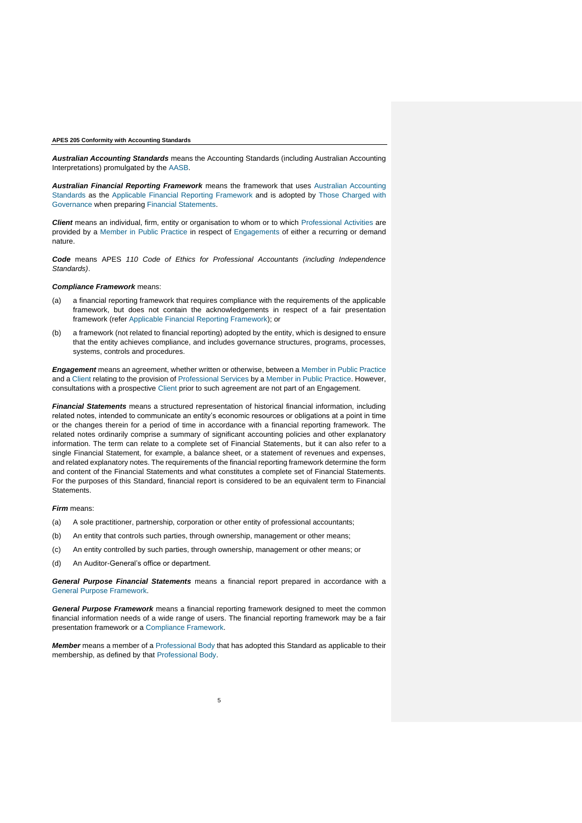*Australian Accounting Standards* means the Accounting Standards (including Australian Accounting Interpretations) promulgated by the AASB.

*Australian Financial Reporting Framework* means the framework that uses Australian Accounting Standards as the Applicable Financial Reporting Framework and is adopted by Those Charged with Governance when preparing Financial Statements.

*Client* means an individual, firm, entity or organisation to whom or to which Professional Activities are provided by a Member in Public Practice in respect of Engagements of either a recurring or demand nature.

*Code* means APES *[110 Code of Ethics for Professional Accountants \(including Independence](https://apesb.org.au/standards-guidance/apes-110-code-of-ethics/)  [Standards\)](https://apesb.org.au/standards-guidance/apes-110-code-of-ethics/)*.

#### *Compliance Framework* means:

- (a) a financial reporting framework that requires compliance with the requirements of the applicable framework, but does not contain the acknowledgements in respect of a fair presentation framework (refer Applicable Financial Reporting Framework); or
- (b) a framework (not related to financial reporting) adopted by the entity, which is designed to ensure that the entity achieves compliance, and includes governance structures, programs, processes, systems, controls and procedures.

*Engagement* means an agreement, whether written or otherwise, between a Member in Public Practice and a Client relating to the provision of Professional Services by a Member in Public Practice. However, consultations with a prospective Client prior to such agreement are not part of an Engagement.

*Financial Statements* means a structured representation of historical financial information, including related notes, intended to communicate an entity's economic resources or obligations at a point in time or the changes therein for a period of time in accordance with a financial reporting framework. The related notes ordinarily comprise a summary of significant accounting policies and other explanatory information. The term can relate to a complete set of Financial Statements, but it can also refer to a single Financial Statement, for example, a balance sheet, or a statement of revenues and expenses, and related explanatory notes. The requirements of the financial reporting framework determine the form and content of the Financial Statements and what constitutes a complete set of Financial Statements. For the purposes of this Standard, financial report is considered to be an equivalent term to Financial Statements.

## *Firm* means:

- (a) A sole practitioner, partnership, corporation or other entity of professional accountants;
- (b) An entity that controls such parties, through ownership, management or other means;
- (c) An entity controlled by such parties, through ownership, management or other means; or
- (d) An Auditor-General's office or department.

*General Purpose Financial Statements* means a financial report prepared in accordance with a General Purpose Framework.

*General Purpose Framework* means a financial reporting framework designed to meet the common financial information needs of a wide range of users. The financial reporting framework may be a fair presentation framework or a Compliance Framework.

*Member* means a member of a Professional Body that has adopted this Standard as applicable to their membership, as defined by that Professional Body.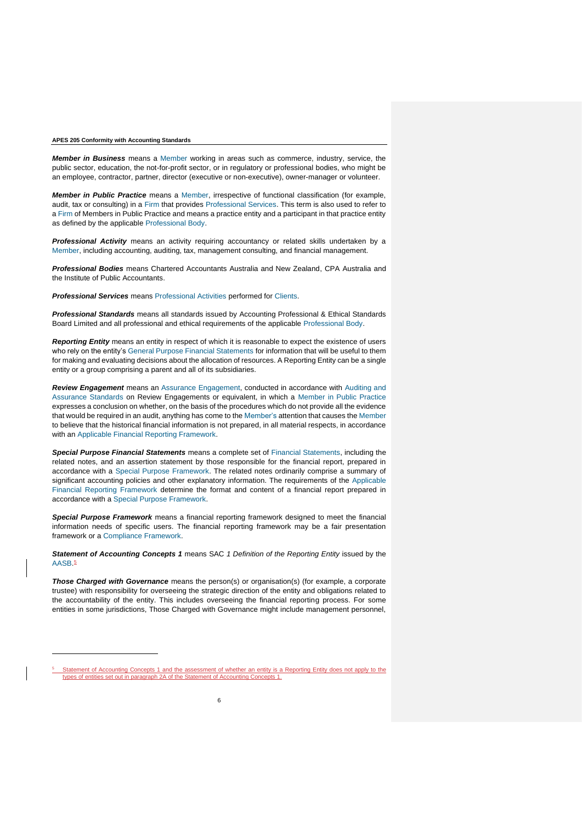*Member in Business* means a Member working in areas such as commerce, industry, service, the public sector, education, the not-for-profit sector, or in regulatory or professional bodies, who might be an employee, contractor, partner, director (executive or non-executive), owner-manager or volunteer.

*Member in Public Practice* means a Member, irrespective of functional classification (for example, audit, tax or consulting) in a Firm that provides Professional Services. This term is also used to refer to a Firm of Members in Public Practice and means a practice entity and a participant in that practice entity as defined by the applicable Professional Body.

*Professional Activity* means an activity requiring accountancy or related skills undertaken by a Member, including accounting, auditing, tax, management consulting, and financial management.

*Professional Bodies* means [Chartered Accountants Australia and New Zealand,](https://www.charteredaccountantsanz.com/) [CPA Australia](https://www.cpaaustralia.com.au/) and the [Institute of Public Accountants.](https://www.publicaccountants.org.au/)

**Professional Services** means Professional Activities performed for Clients.

*Professional Standards* means all standards issued by [Accounting Professional & Ethical Standards](https://apesb.org.au/)  [Board Limited](https://apesb.org.au/) and all professional and ethical requirements of the applicable Professional Body.

*Reporting Entity* means an entity in respect of which it is reasonable to expect the existence of users who rely on the entity's General Purpose Financial Statements for information that will be useful to them for making and evaluating decisions about the allocation of resources. A Reporting Entity can be a single entity or a group comprising a parent and all of its subsidiaries.

*Review Engagement* means an Assurance Engagement, conducted in accordance with Auditing and Assurance Standards on Review Engagements or equivalent, in which a Member in Public Practice expresses a conclusion on whether, on the basis of the procedures which do not provide all the evidence that would be required in an audit, anything has come to the Member's attention that causes the Member to believe that the historical financial information is not prepared, in all material respects, in accordance with an Applicable Financial Reporting Framework.

*Special Purpose Financial Statements* means a complete set of Financial Statements, including the related notes, and an assertion statement by those responsible for the financial report, prepared in accordance with a Special Purpose Framework. The related notes ordinarily comprise a summary of significant accounting policies and other explanatory information. The requirements of the Applicable Financial Reporting Framework determine the format and content of a financial report prepared in accordance with a Special Purpose Framework.

*Special Purpose Framework* means a financial reporting framework designed to meet the financial information needs of specific users. The financial reporting framework may be a fair presentation framework or a Compliance Framework.

*Statement of Accounting Concepts 1* means SAC *[1 Definition of the Reporting Entity](https://www.aasb.gov.au/)* issued by the AASB. 5

*Those Charged with Governance* means the person(s) or organisation(s) (for example, a corporate trustee) with responsibility for overseeing the strategic direction of the entity and obligations related to the accountability of the entity. This includes overseeing the financial reporting process. For some entities in some jurisdictions, Those Charged with Governance might include management personnel,

<sup>5</sup> Statement of Accounting Concepts 1 and the assessment of whether an entity is a Reporting Entity does not apply to the types of entities set out in paragraph 2A of the Statement of Accounting Concepts 1.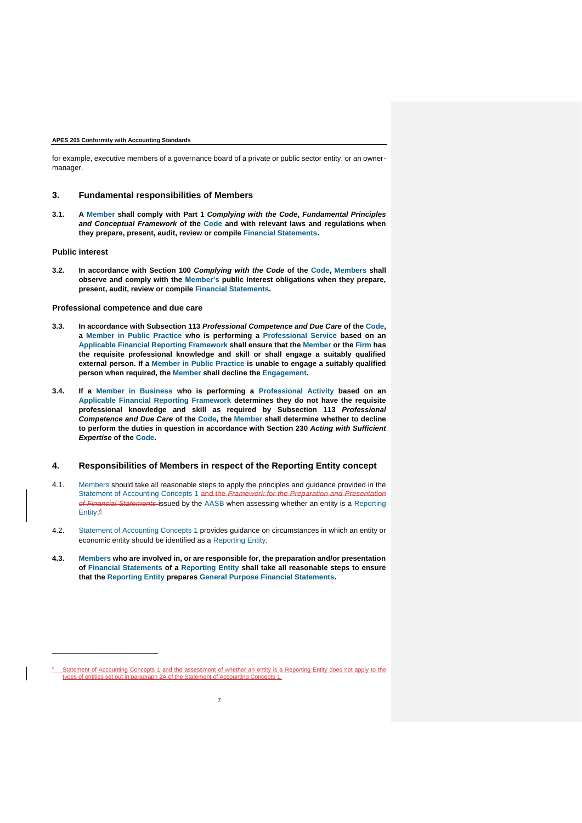for example, executive members of a governance board of a private or public sector entity, or an ownermanager.

# <span id="page-11-0"></span>**3. Fundamental responsibilities of Members**

**3.1. A Member shall comply with Part 1** *[Complying with the Code](https://apesb.org.au/standards-guidance/apes-110-code-of-ethics/)***,** *Fundamental Principles [and Conceptual Framework](https://apesb.org.au/standards-guidance/apes-110-code-of-ethics/)* **of the Code and with relevant laws and regulations when they prepare, present, audit, review or compile Financial Statements.**

## <span id="page-11-1"></span>**Public interest**

**3.2. In accordance with Section 100** *[Complying with the Code](https://apesb.org.au/standards-guidance/apes-110-code-of-ethics/)* **of the Code, Members shall observe and comply with the Member's public interest obligations when they prepare, present, audit, review or compile Financial Statements.**

### <span id="page-11-2"></span>**Professional competence and due care**

- **3.3. In accordance with Subsection 113** *[Professional Competence and Due Care](https://apesb.org.au/standards-guidance/apes-110-code-of-ethics/)* **of the Code, a Member in Public Practice who is performing a Professional Service based on an Applicable Financial Reporting Framework shall ensure that the Member or the Firm has the requisite professional knowledge and skill or shall engage a suitably qualified external person. If a Member in Public Practice is unable to engage a suitably qualified person when required, the Member shall decline the Engagement.**
- **3.4. If a Member in Business who is performing a Professional Activity based on an Applicable Financial Reporting Framework determines they do not have the requisite professional knowledge and skill as required by [Subsection 113](https://apesb.org.au/standards-guidance/apes-110-code-of-ethics/)** *Professional [Competence and Due Care](https://apesb.org.au/standards-guidance/apes-110-code-of-ethics/)* **of the Code, the Member shall determine whether to decline to perform the duties in question in accordance with Section 230** *[Acting with Sufficient](https://apesb.org.au/standards-guidance/apes-110-code-of-ethics/)  [Expertise](https://apesb.org.au/standards-guidance/apes-110-code-of-ethics/)* **of the Code.**

# <span id="page-11-3"></span>**4. Responsibilities of Members in respect of the Reporting Entity concept**

- 4.1. Members should take all reasonable steps to apply the principles and guidance provided in the Statement of Accounting Concepts 1 and the *of Financial Statements* issued by the AASB when assessing whether an entity is a Reporting Entity. 6
- 4.2. Statement of Accounting Concepts 1 provides guidance on circumstances in which an entity or economic entity should be identified as a Reporting Entity.
- **4.3. Members who are involved in, or are responsible for, the preparation and/or presentation of Financial Statements of a Reporting Entity shall take all reasonable steps to ensure that the Reporting Entity prepares General Purpose Financial Statements.**

 $6$  Statement of Accounting Concepts 1 and the assessment of whether an entity is a Reporting Entity does not apply to the types of entities set out in paragraph 2A of the Statement of Accounting Concepts 1.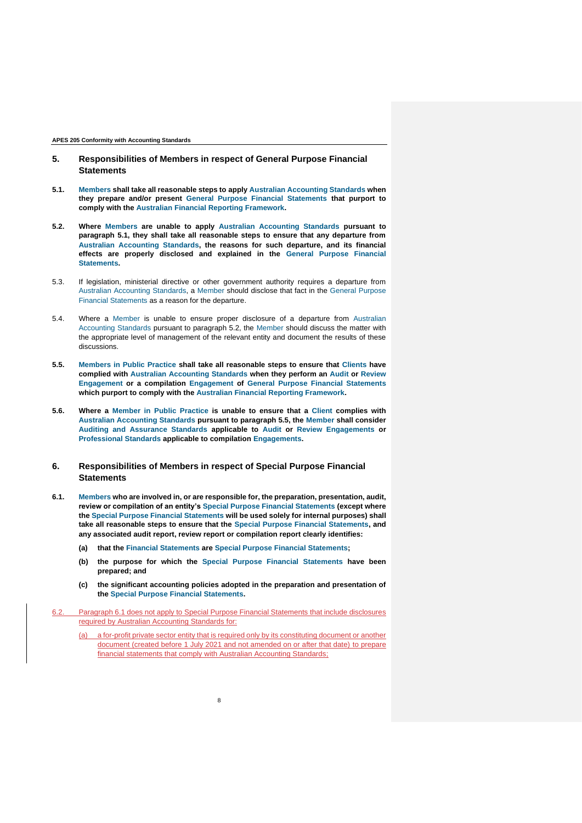- <span id="page-12-0"></span>**5. Responsibilities of Members in respect of General Purpose Financial Statements**
- **5.1. Members shall take all reasonable steps to apply Australian Accounting Standards when they prepare and/or present General Purpose Financial Statements that purport to comply with the Australian Financial Reporting Framework.**
- **5.2. Where Members are unable to apply Australian Accounting Standards pursuant to paragraph 5.1, they shall take all reasonable steps to ensure that any departure from Australian Accounting Standards, the reasons for such departure, and its financial effects are properly disclosed and explained in the General Purpose Financial Statements.**
- 5.3. If legislation, ministerial directive or other government authority requires a departure from Australian Accounting Standards, a Member should disclose that fact in the General Purpose Financial Statements as a reason for the departure.
- 5.4. Where a Member is unable to ensure proper disclosure of a departure from Australian Accounting Standards pursuant to paragraph 5.2, the Member should discuss the matter with the appropriate level of management of the relevant entity and document the results of these discussions.
- **5.5. Members in Public Practice shall take all reasonable steps to ensure that Clients have complied with Australian Accounting Standards when they perform an Audit or Review Engagement or a compilation Engagement of General Purpose Financial Statements which purport to comply with the Australian Financial Reporting Framework.**
- **5.6. Where a Member in Public Practice is unable to ensure that a Client complies with Australian Accounting Standards pursuant to paragraph 5.5, the Member shall consider Auditing and Assurance Standards applicable to Audit or Review Engagements or Professional Standards applicable to compilation Engagements.**

# <span id="page-12-1"></span>**6. Responsibilities of Members in respect of Special Purpose Financial Statements**

- **6.1. Members who are involved in, or are responsible for, the preparation, presentation, audit, review or compilation of an entity's Special Purpose Financial Statements (except where the Special Purpose Financial Statements will be used solely for internal purposes) shall take all reasonable steps to ensure that the Special Purpose Financial Statements, and any associated audit report, review report or compilation report clearly identifies:**
	- **(a) that the Financial Statements are Special Purpose Financial Statements;**
	- **(b) the purpose for which the Special Purpose Financial Statements have been prepared; and**
	- **(c) the significant accounting policies adopted in the preparation and presentation of the Special Purpose Financial Statements.**
- 6.2. Paragraph 6.1 does not apply to Special Purpose Financial Statements that include disclosures required by Australian Accounting Standards for:

8

a for-profit private sector entity that is required only by its constituting document or another document (created before 1 July 2021 and not amended on or after that date) to prepare financial statements that comply with Australian Accounting Standards: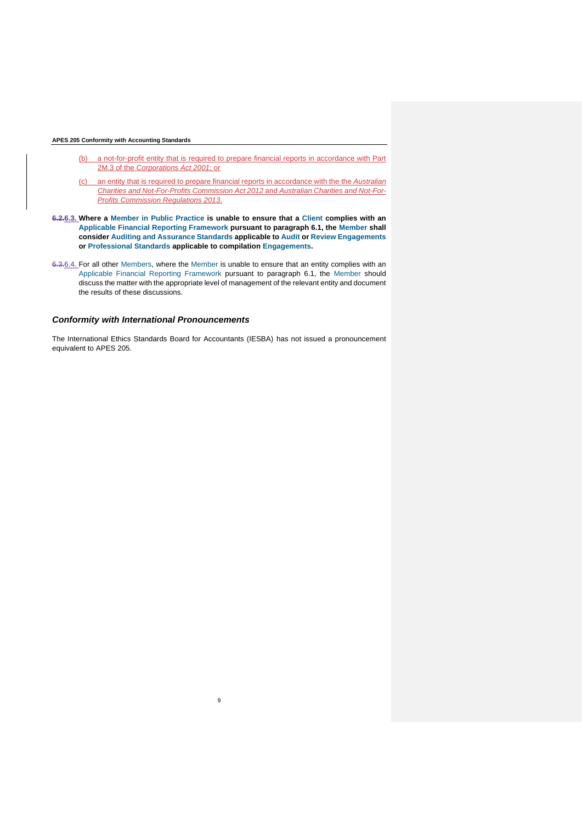- (b) a not-for-profit entity that is required to prepare financial reports in accordance with Part 2M.3 of the *Corporations Act 2001*; or
- (c) an entity that is required to prepare financial reports in accordance with the the *Australian Charities and Not-For-Profits Commission Act 2012* and *Australian Charities and Not-For-Profits Commission Regulations 2013*.
- **6.2.6.3. Where a Member in Public Practice is unable to ensure that a Client complies with an Applicable Financial Reporting Framework pursuant to paragraph 6.1, the Member shall consider Auditing and Assurance Standards applicable to Audit or Review Engagements or Professional Standards applicable to compilation Engagements.**
- 6.3.6.4. For all other Members, where the Member is unable to ensure that an entity complies with an Applicable Financial Reporting Framework pursuant to paragraph 6.1, the Member should discuss the matter with the appropriate level of management of the relevant entity and document the results of these discussions.

# <span id="page-13-0"></span>*Conformity with International Pronouncements*

[The International Ethics Standards Board for Accountants \(IESBA\)](https://www.ethicsboard.org/) has not issued a pronouncement equivalent to APES 205.

9